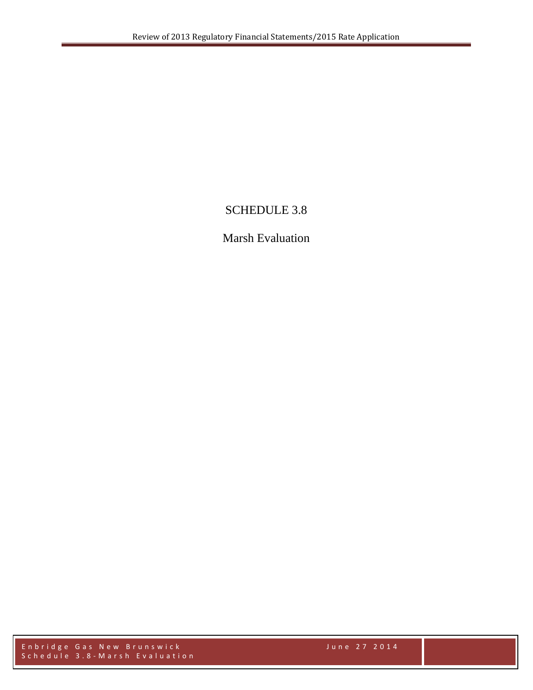## SCHEDULE 3.8

## Marsh Evaluation

Enbridge Gas New Brunswick June 27 2014 Schedule 3.8 - Marsh Evaluation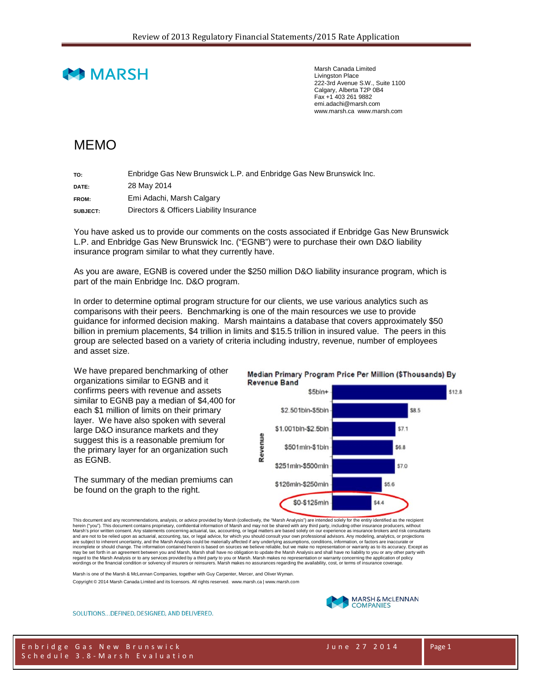

Marsh Canada Limited Livingston Place 222-3rd Avenue S.W., Suite 1100 Calgary, Alberta T2P 0B4 Fax +1 403 261 9882 emi.adachi@marsh.com www.marsh.ca www.marsh.com

## MEMO

**TO:** Enbridge Gas New Brunswick L.P. and Enbridge Gas New Brunswick Inc. **DATE:** 28 May 2014 **FROM:** Emi Adachi, Marsh Calgary

**SUBJECT:** Directors & Officers Liability Insurance

You have asked us to provide our comments on the costs associated if Enbridge Gas New Brunswick L.P. and Enbridge Gas New Brunswick Inc. ("EGNB") were to purchase their own D&O liability insurance program similar to what they currently have.

As you are aware, EGNB is covered under the \$250 million D&O liability insurance program, which is part of the main Enbridge Inc. D&O program.

In order to determine optimal program structure for our clients, we use various analytics such as comparisons with their peers. Benchmarking is one of the main resources we use to provide guidance for informed decision making. Marsh maintains a database that covers approximately \$50 billion in premium placements, \$4 trillion in limits and \$15.5 trillion in insured value. The peers in this group are selected based on a variety of criteria including industry, revenue, number of employees and asset size.

We have prepared benchmarking of other organizations similar to EGNB and it confirms peers with revenue and assets similar to EGNB pay a median of \$4,400 for each \$1 million of limits on their primary layer. We have also spoken with several large D&O insurance markets and they suggest this is a reasonable premium for the primary layer for an organization such as EGNB.

The summary of the median premiums can be found on the graph to the right.

## Median Primary Program Price Per Million (\$Thousands) By **Revenue Band**



This document and any recommendations, analysis, or advice provided by Marsh (collectively, the "Marsh Analysis") are intended solely for the entity identified as the recipient herein ("you"). This document contains proprietary, confidential information of Marsh and may not be shared with any third party, including other insurance producers, without<br>Marsh's prior written consent. Any statements c incomplete or should change. The information contained herein is based on sources we believe reliable, but we make no representation or warranty as to its accuracy. Except as<br>may be set forth in an agreement between you an regard to the Marsh Analysis or to any services provided by a third party to you or Marsh. Marsh makes no representation or warranty concerning the application of policy<br>wordings or the financial condition or solvency of i

Marsh is one of the Marsh & McLennan Companies, together with Guy Carpenter, Mercer, and Oliver Wyman. Copyright © 2014 Marsh Canada Limited and its licensors. All rights reserved. www.marsh.ca | www.marsh.com



SOLUTIONS...DEFINED, DESIGNED, AND DELIVERED.